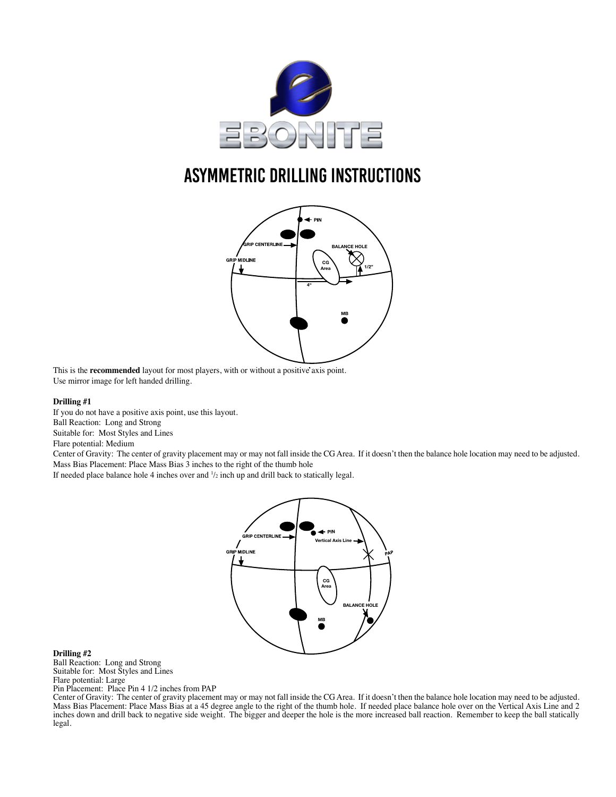

# ASymmetric Drilling Instructions



This is the **recommended** layout for most players, with or without a positive axis point. Use mirror image for left handed drilling.

#### **Drilling #1**

If you do not have a positive axis point, use this layout. Ball Reaction: Long and Strong Suitable for: Most Styles and Lines

Flare potential: Medium

Center of Gravity: The center of gravity placement may or may not fall inside the CG Area. If it doesn't then the balance hole location may need to be adjusted. Mass Bias Placement: Place Mass Bias 3 inches to the right of the thumb hole

If needed place balance hole 4 inches over and  $\frac{1}{2}$  inch up and drill back to statically legal.



#### **Drilling #2**

Ball Reaction: Long and Strong Suitable for: Most Styles and Lines Flare potential: Large Pin Placement: Place Pin 4 1/2 inches from PAP

Center of Gravity: The center of gravity placement may or may not fall inside the CG Area. If it doesn't then the balance hole location may need to be adjusted. Mass Bias Placement: Place Mass Bias at a 45 degree angle to the right of the thumb hole. If needed place balance hole over on the Vertical Axis Line and 2 inches down and drill back to negative side weight. The bigger and deeper the hole is the more increased ball reaction. Remember to keep the ball statically legal.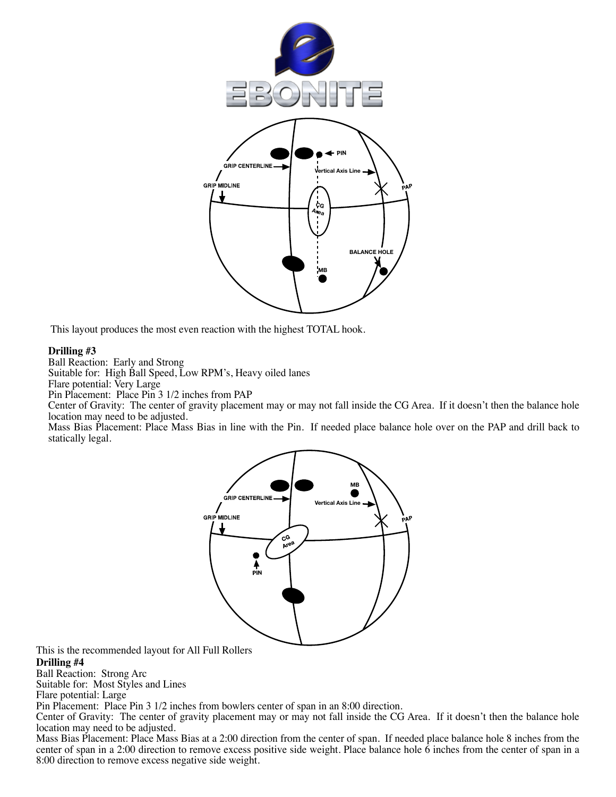

This layout produces the most even reaction with the highest TOTAL hook.

### **Drilling #3**

Ball Reaction: Early and Strong

Suitable for: High Ball Speed, Low RPM's, Heavy oiled lanes

Flare potential: Very Large

Pin Placement: Place Pin 3 1/2 inches from PAP

Center of Gravity: The center of gravity placement may or may not fall inside the CG Area. If it doesn't then the balance hole location may need to be adjusted.

Mass Bias Placement: Place Mass Bias in line with the Pin. If needed place balance hole over on the PAP and drill back to statically legal.



This is the recommended layout for All Full Rollers

**Drilling #4**

Ball Reaction: Strong Arc

Suitable for: Most Styles and Lines

Flare potential: Large

Pin Placement: Place Pin 3 1/2 inches from bowlers center of span in an 8:00 direction.

Center of Gravity: The center of gravity placement may or may not fall inside the CG Area. If it doesn't then the balance hole location may need to be adjusted.

Mass Bias Placement: Place Mass Bias at a 2:00 direction from the center of span. If needed place balance hole 8 inches from the center of span in a 2:00 direction to remove excess positive side weight. Place balance hole  $\ddot{6}$  inches from the center of span in a 8:00 direction to remove excess negative side weight.